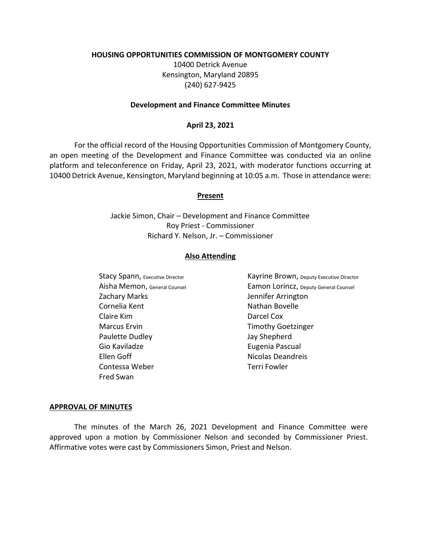### **HOUSING OPPORTUNITIES COMMISSION OF MONTGOMERY COUNTY**

10400 Detrick Avenue Kensington, Maryland 20895 (240) 627-9425

### **Development and Finance Committee Minutes**

## **April 23, 2021**

For the official record of the Housing Opportunities Commission of Montgomery County, an open meeting of the Development and Finance Committee was conducted via an online platform and teleconference on Friday, April 23, 2021, with moderator functions occurring at 10400 Detrick Avenue, Kensington, Maryland beginning at 10:05 a.m. Those in attendance were:

### **Present**

Jackie Simon, Chair – Development and Finance Committee Roy Priest - Commissioner Richard Y. Nelson, Jr. – Commissioner

### **Also Attending**

Zachary Marks **Jennifer Arrington** Cornelia Kent Nathan Bovelle Claire Kim Darcel Cox Marcus Ervin **Marcus Erving Community** Timothy Goetzinger Paulette Dudley **Jay Shepherd** Gio Kaviladze **Eugenia Pascual** Ellen Goff **Nicolas Deandreis** Contessa Weber Terri Fowler Fred Swan

Stacy Spann, Executive Director **Kayrine Brown**, Deputy Executive Director Aisha Memon, General Counsel Eamon Lorincz, Deputy General Counsel

#### **APPROVAL OF MINUTES**

The minutes of the March 26, 2021 Development and Finance Committee were approved upon a motion by Commissioner Nelson and seconded by Commissioner Priest. Affirmative votes were cast by Commissioners Simon, Priest and Nelson.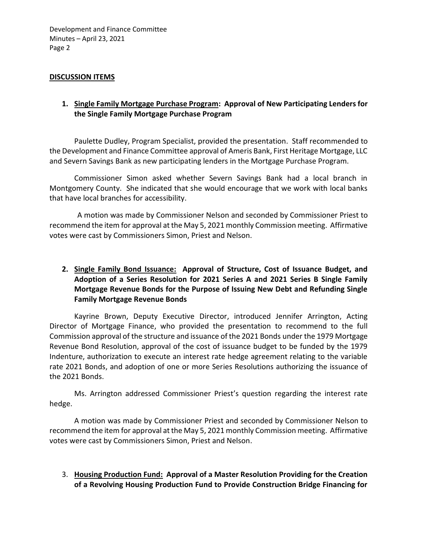Development and Finance Committee Minutes – April 23, 2021 Page 2

## **DISCUSSION ITEMS**

## **1. Single Family Mortgage Purchase Program: Approval of New Participating Lenders for the Single Family Mortgage Purchase Program**

Paulette Dudley, Program Specialist, provided the presentation. Staff recommended to the Development and Finance Committee approval of Ameris Bank, First Heritage Mortgage, LLC and Severn Savings Bank as new participating lenders in the Mortgage Purchase Program.

Commissioner Simon asked whether Severn Savings Bank had a local branch in Montgomery County. She indicated that she would encourage that we work with local banks that have local branches for accessibility.

A motion was made by Commissioner Nelson and seconded by Commissioner Priest to recommend the item for approval at the May 5, 2021 monthly Commission meeting. Affirmative votes were cast by Commissioners Simon, Priest and Nelson.

## **2. Single Family Bond Issuance: Approval of Structure, Cost of Issuance Budget, and Adoption of a Series Resolution for 2021 Series A and 2021 Series B Single Family Mortgage Revenue Bonds for the Purpose of Issuing New Debt and Refunding Single Family Mortgage Revenue Bonds**

Kayrine Brown, Deputy Executive Director, introduced Jennifer Arrington, Acting Director of Mortgage Finance, who provided the presentation to recommend to the full Commission approval of the structure and issuance of the 2021 Bonds under the 1979 Mortgage Revenue Bond Resolution, approval of the cost of issuance budget to be funded by the 1979 Indenture, authorization to execute an interest rate hedge agreement relating to the variable rate 2021 Bonds, and adoption of one or more Series Resolutions authorizing the issuance of the 2021 Bonds.

Ms. Arrington addressed Commissioner Priest's question regarding the interest rate hedge.

A motion was made by Commissioner Priest and seconded by Commissioner Nelson to recommend the item for approval at the May 5, 2021 monthly Commission meeting. Affirmative votes were cast by Commissioners Simon, Priest and Nelson.

## 3. **Housing Production Fund: Approval of a Master Resolution Providing for the Creation of a Revolving Housing Production Fund to Provide Construction Bridge Financing for**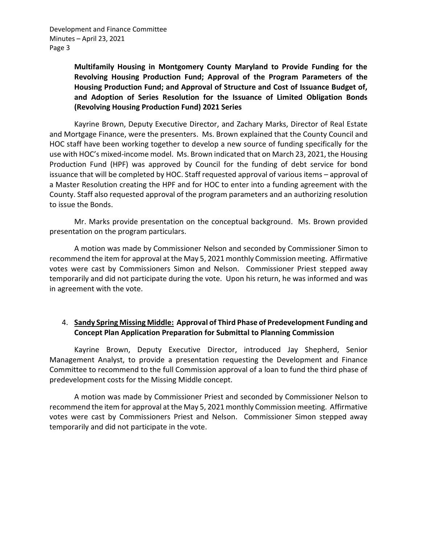Development and Finance Committee Minutes – April 23, 2021 Page 3

> **Multifamily Housing in Montgomery County Maryland to Provide Funding for the Revolving Housing Production Fund; Approval of the Program Parameters of the Housing Production Fund; and Approval of Structure and Cost of Issuance Budget of, and Adoption of Series Resolution for the Issuance of Limited Obligation Bonds (Revolving Housing Production Fund) 2021 Series**

Kayrine Brown, Deputy Executive Director, and Zachary Marks, Director of Real Estate and Mortgage Finance, were the presenters. Ms. Brown explained that the County Council and HOC staff have been working together to develop a new source of funding specifically for the use with HOC's mixed-income model. Ms. Brown indicated that on March 23, 2021, the Housing Production Fund (HPF) was approved by Council for the funding of debt service for bond issuance that will be completed by HOC. Staff requested approval of various items – approval of a Master Resolution creating the HPF and for HOC to enter into a funding agreement with the County. Staff also requested approval of the program parameters and an authorizing resolution to issue the Bonds.

Mr. Marks provide presentation on the conceptual background. Ms. Brown provided presentation on the program particulars.

A motion was made by Commissioner Nelson and seconded by Commissioner Simon to recommend the item for approval at the May 5, 2021 monthly Commission meeting. Affirmative votes were cast by Commissioners Simon and Nelson. Commissioner Priest stepped away temporarily and did not participate during the vote. Upon his return, he was informed and was in agreement with the vote.

# 4. **Sandy Spring Missing Middle: Approval of Third Phase of Predevelopment Funding and Concept Plan Application Preparation for Submittal to Planning Commission**

Kayrine Brown, Deputy Executive Director, introduced Jay Shepherd, Senior Management Analyst, to provide a presentation requesting the Development and Finance Committee to recommend to the full Commission approval of a loan to fund the third phase of predevelopment costs for the Missing Middle concept.

A motion was made by Commissioner Priest and seconded by Commissioner Nelson to recommend the item for approval at the May 5, 2021 monthly Commission meeting. Affirmative votes were cast by Commissioners Priest and Nelson. Commissioner Simon stepped away temporarily and did not participate in the vote.